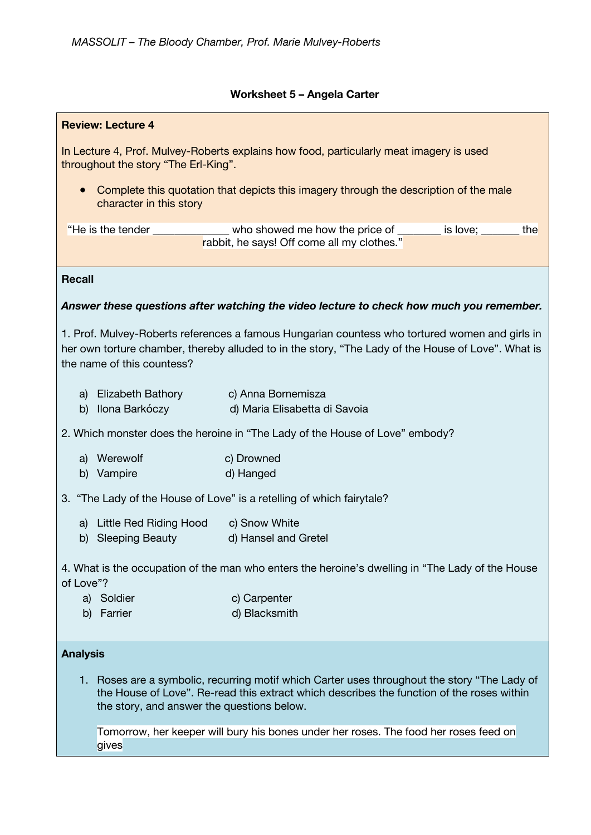## **Worksheet 5 – Angela Carter**

| <b>Review: Lecture 4</b>                                                                                                                                                                                                                |
|-----------------------------------------------------------------------------------------------------------------------------------------------------------------------------------------------------------------------------------------|
| In Lecture 4, Prof. Mulvey-Roberts explains how food, particularly meat imagery is used<br>throughout the story "The Erl-King".                                                                                                         |
| Complete this quotation that depicts this imagery through the description of the male<br>character in this story                                                                                                                        |
| "He is the tender<br>who showed me how the price of ________ is love; ___<br>the<br>rabbit, he says! Off come all my clothes."                                                                                                          |
| <b>Recall</b>                                                                                                                                                                                                                           |
| Answer these questions after watching the video lecture to check how much you remember.                                                                                                                                                 |
| 1. Prof. Mulvey-Roberts references a famous Hungarian countess who tortured women and girls in<br>her own torture chamber, thereby alluded to in the story, "The Lady of the House of Love". What is<br>the name of this countess?      |
| a) Elizabeth Bathory<br>c) Anna Bornemisza<br>Ilona Barkóczy<br>d) Maria Elisabetta di Savoia<br>b)                                                                                                                                     |
| 2. Which monster does the heroine in "The Lady of the House of Love" embody?                                                                                                                                                            |
| a) Werewolf<br>c) Drowned<br>b) Vampire<br>d) Hanged                                                                                                                                                                                    |
| 3. "The Lady of the House of Love" is a retelling of which fairytale?                                                                                                                                                                   |
| a) Little Red Riding Hood<br>c) Snow White<br>d) Hansel and Gretel<br>b) Sleeping Beauty                                                                                                                                                |
| 4. What is the occupation of the man who enters the heroine's dwelling in "The Lady of the House"<br>of Love"?                                                                                                                          |
| a) Soldier<br>c) Carpenter<br>d) Blacksmith<br>b) Farrier                                                                                                                                                                               |
| <b>Analysis</b>                                                                                                                                                                                                                         |
| 1. Roses are a symbolic, recurring motif which Carter uses throughout the story "The Lady of<br>the House of Love". Re-read this extract which describes the function of the roses within<br>the story, and answer the questions below. |
| Tomorrow, her keeper will bury his bones under her roses. The food her roses feed on<br>gives                                                                                                                                           |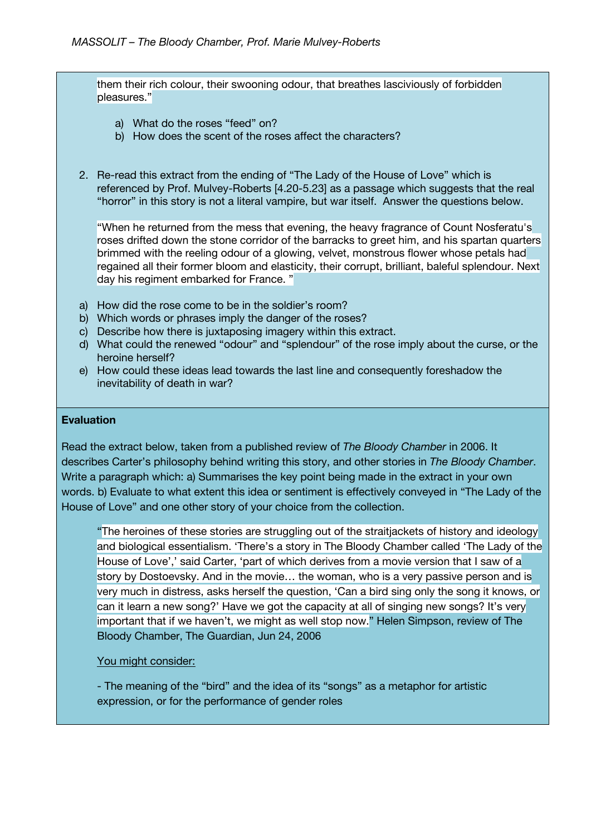them their rich colour, their swooning odour, that breathes lasciviously of forbidden pleasures."

- a) What do the roses "feed" on?
- b) How does the scent of the roses affect the characters?
- 2. Re-read this extract from the ending of "The Lady of the House of Love" which is referenced by Prof. Mulvey-Roberts [4.20-5.23] as a passage which suggests that the real "horror" in this story is not a literal vampire, but war itself. Answer the questions below.

"When he returned from the mess that evening, the heavy fragrance of Count Nosferatu's roses drifted down the stone corridor of the barracks to greet him, and his spartan quarters brimmed with the reeling odour of a glowing, velvet, monstrous flower whose petals had regained all their former bloom and elasticity, their corrupt, brilliant, baleful splendour. Next day his regiment embarked for France."

- a) How did the rose come to be in the soldier's room?
- b) Which words or phrases imply the danger of the roses?
- c) Describe how there is juxtaposing imagery within this extract.
- d) What could the renewed "odour" and "splendour" of the rose imply about the curse, or the heroine herself?
- e) How could these ideas lead towards the last line and consequently foreshadow the inevitability of death in war?

## **Evaluation**

Read the extract below, taken from a published review of *The Bloody Chamber* in 2006. It describes Carter's philosophy behind writing this story, and other stories in *The Bloody Chamber*. Write a paragraph which: a) Summarises the key point being made in the extract in your own words. b) Evaluate to what extent this idea or sentiment is effectively conveyed in "The Lady of the House of Love" and one other story of your choice from the collection.

"The heroines of these stories are struggling out of the straitjackets of history and ideology and biological essentialism. 'There's a story in The Bloody Chamber called 'The Lady of the House of Love', said Carter, 'part of which derives from a movie version that I saw of a story by Dostoevsky. And in the movie… the woman, who is a very passive person and is very much in distress, asks herself the question, 'Can a bird sing only the song it knows, or can it learn a new song?' Have we got the capacity at all of singing new songs? It's very important that if we haven't, we might as well stop now." Helen Simpson, review of The Bloody Chamber, The Guardian, Jun 24, 2006

## You might consider:

- The meaning of the "bird" and the idea of its "songs" as a metaphor for artistic expression, or for the performance of gender roles